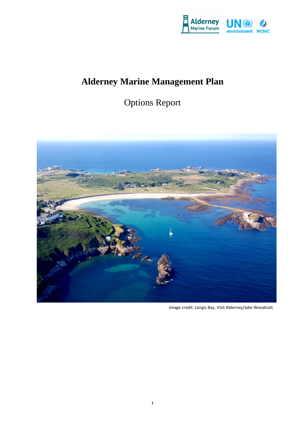

# **Alderney Marine Management Plan**

# Options Report



Image credit: Longis Bay, Visit Alderney/Jake Woodnutt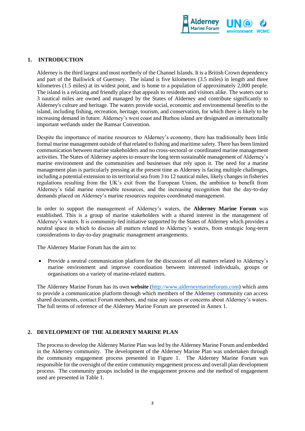

## **1. INTRODUCTION**

Alderney is the third largest and most northerly of the Channel Islands. It is a British Crown dependency and part of the Bailiwick of Guernsey. The island is five kilometres (3.5 miles) in length and three kilometres (1.5 miles) at its widest point, and is home to a population of approximately 2,000 people. The island is a relaxing and friendly place that appeals to residents and visitors alike. The waters out to 3 nautical miles are owned and managed by the States of Alderney and contribute significantly to Alderney's culture and heritage. The waters provide social, economic and environmental benefits to the island, including fishing, recreation, heritage, tourism, and conservation, for which there is likely to be increasing demand in future. Alderney's west coast and Burhou island are designated as internationally important wetlands under the Ramsar Convention.

Despite the importance of marine resources to Alderney's economy, there has traditionally been little formal marine management outside of that related to fishing and maritime safety. There has been limited communication between marine stakeholders and no cross-sectoral or coordinated marine management activities. The States of Alderney aspires to ensure the long term sustainable management of Alderney's marine environment and the communities and businesses that rely upon it. The need for a marine management plan is particularly pressing at the present time as Alderney is facing multiple challenges, including a potential extension to its territorial sea from 3 to 12 nautical miles, likely changes in fisheries regulations resulting from the UK's exit from the European Union, the ambition to benefit from Alderney's tidal marine renewable resources, and the increasing recognition that the day-to-day demands placed on Alderney's marine resources requires coordinated management.

In order to support the management of Alderney's waters, the **Alderney Marine Forum** was established. This is a group of marine stakeholders with a shared interest in the management of Alderney's waters. It is community-led initiative supported by the States of Alderney which provides a neutral space in which to discuss all matters related to Alderney's waters, from strategic long-term considerations to day-to-day pragmatic management arrangements.

The Alderney Marine Forum has the aim to:

 Provide a neutral communication platform for the discussion of all matters related to Alderney's marine environment and improve coordination between interested individuals, groups or organisations on a variety of marine-related matters.

The Alderney Marine Forum has its own **website** [\(http://www.alderneymarineforum.com\)](http://www.alderneymarineforum.com/) which aims to provide a communication platform through which members of the Alderney community can access shared documents, contact Forum members, and raise any issues or concerns about Alderney's waters. The full terms of reference of the Alderney Marine Forum are presented in Annex 1.

#### **2. DEVELOPMENT OF THE ALDERNEY MARINE PLAN**

The process to develop the Alderney Marine Plan was led by the Alderney Marine Forum and embedded in the Alderney community. The development of the Alderney Marine Plan was undertaken through the community engagement process presented in Figure 1. The Alderney Marine Forum was responsible for the oversight of the entire community engagement process and overall plan development process. The community groups included in the engagement process and the method of engagement used are presented in Table 1.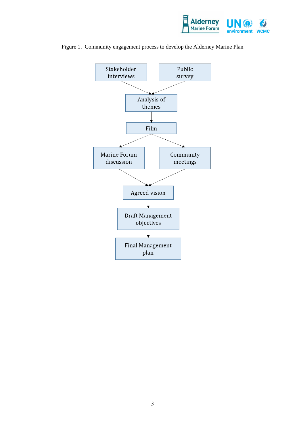



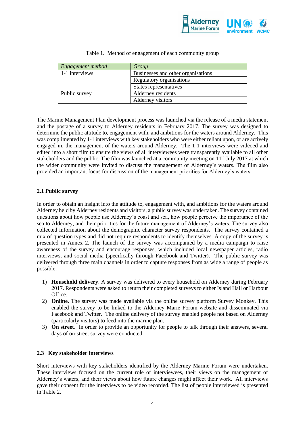

| Engagement method | Group                              |
|-------------------|------------------------------------|
| 1-1 interviews    | Businesses and other organisations |
|                   | Regulatory organisations           |
|                   | States representatives             |
| Public survey     | Alderney residents                 |
|                   | Alderney visitors                  |

#### Table 1. Method of engagement of each community group

The Marine Management Plan development process was launched via the release of a media statement and the postage of a survey to Alderney residents in February 2017. The survey was designed to determine the public attitude to, engagement with, and ambitions for the waters around Alderney. This was complimented by 1-1 interviews with key stakeholders who were either reliant upon, or are actively engaged in, the management of the waters around Alderney. The 1-1 interviews were videoed and edited into a short film to ensure the views of all interviewees were transparently available to all other stakeholders and the public. The film was launched at a community meeting on  $11<sup>th</sup>$  July 2017 at which the wider community were invited to discuss the management of Alderney's waters. The film also provided an important focus for discussion of the management priorities for Alderney's waters.

## **2.1 Public survey**

In order to obtain an insight into the attitude to, engagement with, and ambitions for the waters around Alderney held by Alderney residents and visitors, a public survey was undertaken. The survey contained questions about how people use Alderney's coast and sea, how people perceive the importance of the sea to Alderney, and their priorities for the future management of Alderney's waters. The survey also collected information about the demographic character survey respondents. The survey contained a mix of question types and did not require respondents to identify themselves. A copy of the survey is presented in Annex 2. The launch of the survey was accompanied by a media campaign to raise awareness of the survey and encourage responses, which included local newspaper articles, radio interviews, and social media (specifically through Facebook and Twitter). The public survey was delivered through three main channels in order to capture responses from as wide a range of people as possible:

- 1) **Household delivery**. A survey was delivered to every household on Alderney during February 2017. Respondents were asked to return their completed surveys to either Island Hall or Harbour Office.
- 2) **Online**. The survey was made available via the online survey platform Survey Monkey. This enabled the survey to be linked to the Alderney Marie Forum website and disseminated via Facebook and Twitter. The online delivery of the survey enabled people not based on Alderney (particularly visitors) to feed into the marine plan.
- 3) **On street**. In order to provide an opportunity for people to talk through their answers, several days of on-street survey were conducted.

# **2.3 Key stakeholder interviews**

Short interviews with key stakeholders identified by the Alderney Marine Forum were undertaken. These interviews focused on the current role of interviewees, their views on the management of Alderney's waters, and their views about how future changes might affect their work. All interviews gave their consent for the interviews to be video recorded. The list of people interviewed is presented in Table 2.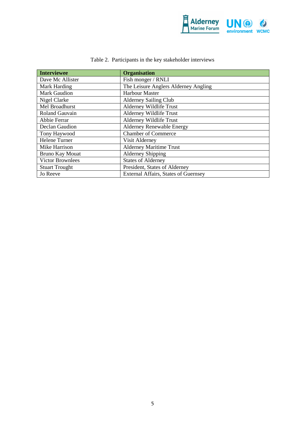

| <b>Interviewee</b>      | <b>Organisation</b>                         |
|-------------------------|---------------------------------------------|
| Dave Mc Allister        | Fish monger / RNLI                          |
| Mark Harding            | The Leisure Anglers Alderney Angling        |
| Mark Gaudion            | <b>Harbour Master</b>                       |
| Nigel Clarke            | <b>Alderney Sailing Club</b>                |
| Mel Broadhurst          | Alderney Wildlife Trust                     |
| Roland Gauvain          | Alderney Wildlife Trust                     |
| Abbie Ferrar            | <b>Alderney Wildlife Trust</b>              |
| Declan Gaudion          | <b>Alderney Renewable Energy</b>            |
| Tony Haywood            | <b>Chamber of Commerce</b>                  |
| Helene Turner           | Visit Alderney                              |
| Mike Harrison           | <b>Alderney Maritime Trust</b>              |
| <b>Bruno Kay Mouat</b>  | <b>Alderney Shipping</b>                    |
| <b>Victor Brownlees</b> | <b>States of Alderney</b>                   |
| <b>Stuart Trought</b>   | President, States of Alderney               |
| Jo Reeve                | <b>External Affairs, States of Guernsey</b> |

# Table 2. Participants in the key stakeholder interviews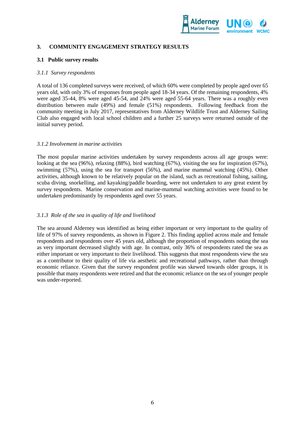

## **3. COMMUNITY ENGAGEMENT STRATEGY RESULTS**

#### **3.1 Public survey results**

#### *3.1.1 Survey respondents*

A total of 136 completed surveys were received, of which 60% were completed by people aged over 65 years old, with only 3% of responses from people aged 18-34 years. Of the remaining respondents, 4% were aged 35-44, 8% were aged 45-54, and 24% were aged 55-64 years. There was a roughly even distribution between male (49%) and female (51%) respondents. Following feedback from the community meeting in July 2017, representatives from Alderney Wildlife Trust and Alderney Sailing Club also engaged with local school children and a further 25 surveys were returned outside of the initial survey period.

#### *3.1.2 Involvement in marine activities*

The most popular marine activities undertaken by survey respondents across all age groups were: looking at the sea (96%), relaxing (88%), bird watching (67%), visiting the sea for inspiration (67%), swimming (57%), using the sea for transport (56%), and marine mammal watching (45%). Other activities, although known to be relatively popular on the island, such as recreational fishing, sailing, scuba diving, snorkelling, and kayaking/paddle boarding, were not undertaken to any great extent by survey respondents. Marine conservation and marine-mammal watching activities were found to be undertaken predominantly by respondents aged over 55 years.

#### *3.1.3 Role of the sea in quality of life and livelihood*

The sea around Alderney was identified as being either important or very important to the quality of life of 97% of survey respondents, as shown in Figure 2. This finding applied across male and female respondents and respondents over 45 years old, although the proportion of respondents noting the sea as very important decreased slightly with age. In contrast, only 36% of respondents rated the sea as either important or very important to their livelihood. This suggests that most respondents view the sea as a contributor to their quality of life via aesthetic and recreational pathways, rather than through economic reliance. Given that the survey respondent profile was skewed towards older groups, it is possible that many respondents were retired and that the economic reliance on the sea of younger people was under-reported.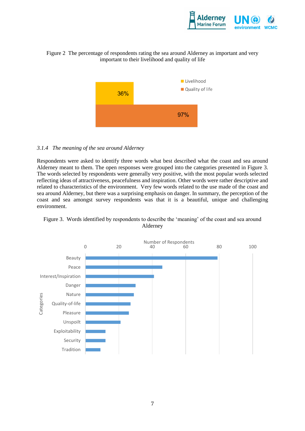

# Figure 2 The percentage of respondents rating the sea around Alderney as important and very important to their livelihood and quality of life



#### *3.1.4 The meaning of the sea around Alderney*

Respondents were asked to identify three words what best described what the coast and sea around Alderney meant to them. The open responses were grouped into the categories presented in Figure 3. The words selected by respondents were generally very positive, with the most popular words selected reflecting ideas of attractiveness, peacefulness and inspiration. Other words were rather descriptive and related to characteristics of the environment. Very few words related to the use made of the coast and sea around Alderney, but there was a surprising emphasis on danger. In summary, the perception of the coast and sea amongst survey respondents was that it is a beautiful, unique and challenging environment.



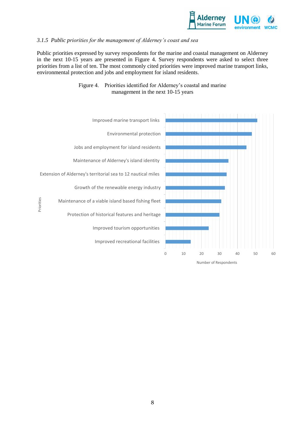

### *3.1.5 Public priorities for the management of Alderney's coast and sea*

Public priorities expressed by survey respondents for the marine and coastal management on Alderney in the next 10-15 years are presented in Figure 4. Survey respondents were asked to select three priorities from a list of ten. The most commonly cited priorities were improved marine transport links, environmental protection and jobs and employment for island residents.



# Figure 4. Priorities identified for Alderney's coastal and marine management in the next 10-15 years

Number of Respondents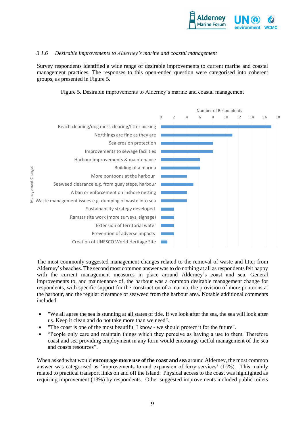

#### *3.1.6 Desirable improvements to Alderney's marine and coastal management*

Survey respondents identified a wide range of desirable improvements to current marine and coastal management practices. The responses to this open-ended question were categorised into coherent groups, as presented in Figure 5.





The most commonly suggested management changes related to the removal of waste and litter from Alderney's beaches. The second most common answer was to do nothing at all as respondents felt happy with the current management measures in place around Alderney's coast and sea. General improvements to, and maintenance of, the harbour was a common desirable management change for respondents, with specific support for the construction of a marina, the provision of more pontoons at the harbour, and the regular clearance of seaweed from the harbour area. Notable additional comments included:

- "We all agree the sea is stunning at all states of tide. If we look after the sea, the sea will look after us. Keep it clean and do not take more than we need".
- "The coast is one of the most beautiful I know we should protect it for the future".
- "People only care and maintain things which they perceive as having a use to them. Therefore coast and sea providing employment in any form would encourage tactful management of the sea and coasts resources".

When asked what would **encourage more use of the coast and sea** around Alderney, the most common answer was categorised as 'improvements to and expansion of ferry services' (15%). This mainly related to practical transport links on and off the island. Physical access to the coast was highlighted as requiring improvement (13%) by respondents. Other suggested improvements included public toilets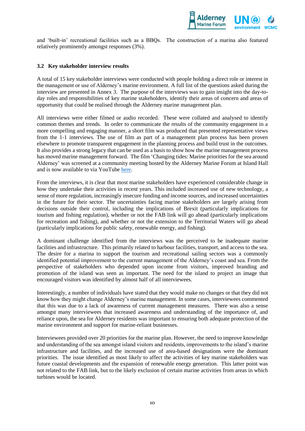

and 'built-in' recreational facilities such as a BBQs. The construction of a marina also featured relatively prominently amongst responses (3%).

#### **3.2 Key stakeholder interview results**

A total of 15 key stakeholder interviews were conducted with people holding a direct role or interest in the management or use of Alderney's marine environment. A full list of the questions asked during the interview are presented in Annex 3. The purpose of the interviews was to gain insight into the day-today roles and responsibilities of key marine stakeholders, identify their areas of concern and areas of opportunity that could be realised through the Alderney marine management plan.

All interviews were either filmed or audio recorded. These were collated and analysed to identify common themes and trends. In order to communicate the results of the community engagement in a more compelling and engaging manner, a short film was produced that presented representative views from the 1-1 interviews. The use of film as part of a management plan process has been proven elsewhere to promote transparent engagement in the planning process and build trust in the outcomes. It also provides a strong legacy that can be used as a basis to show how the marine management process has moved marine management forward. The film 'Changing tides: Marine priorities for the sea around Alderney' was screened at a community meeting hosted by the Alderney Marine Forum at Island Hall and is now available to via YouTub[e here.](https://www.youtube.com/watch?v=SKwSEHMeBjE&feature=youtu.be)

From the interviews, it is clear that most marine stakeholders have experienced considerable change in how they undertake their activities in recent years. This included increased use of new technology, a sense of more regulation, increasingly insecure funding and income sources, and increased uncertainties in the future for their sector. The uncertainties facing marine stakeholders are largely arising from decisions outside their control, including the implications of Brexit (particularly implications for tourism and fishing regulation), whether or not the FAB link will go ahead (particularly implications for recreation and fishing), and whether or not the extension to the Territorial Waters will go ahead (particularly implications for public safety, renewable energy, and fishing).

A dominant challenge identified from the interviews was the perceived to be inadequate marine facilities and infrastructure. This primarily related to harbour facilities, transport, and access to the sea. The desire for a marina to support the tourism and recreational sailing sectors was a commonly identified potential improvement to the current management of the Alderney's coast and sea. From the perspective of stakeholders who depended upon income from visitors, improved branding and promotion of the island was seen as important. The need for the island to project an image that encouraged visitors was identified by almost half of all interviewees.

Interestingly, a number of individuals have stated that they would make no changes or that they did not know how they might change Alderney's marine management. In some cases, interviewees commented that this was due to a lack of awareness of current management measures. There was also a sense amongst many interviewees that increased awareness and understanding of the importance of, and reliance upon, the sea for Alderney residents was important to ensuring both adequate protection of the marine environment and support for marine-reliant businesses.

Interviewees provided over 20 priorities for the marine plan. However, the need to improve knowledge and understanding of the sea amongst island visitors and residents, improvements to the island's marine infrastructure and facilities, and the increased use of area-based designations were the dominant priorities. The issue identified as most likely to affect the activities of key marine stakeholders was future coastal developments and the expansion of renewable energy generation. This latter point was not related to the FAB link, but to the likely exclusion of certain marine activities from areas in which turbines would be located.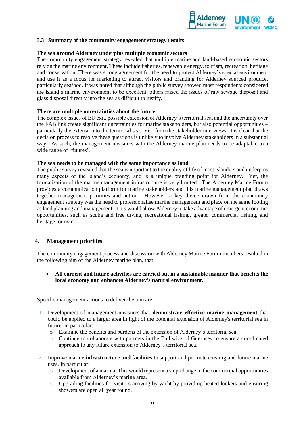

#### **3.3 Summary of the community engagement strategy results**

#### **The sea around Alderney underpins multiple economic sectors**

The community engagement strategy revealed that multiple marine and land-based economic sectors rely on the marine environment. These include fisheries, renewable energy, tourism, recreation, heritage and conservation. There was strong agreement for the need to protect Alderney's special environment and use it as a focus for marketing to attract visitors and branding for Alderney sourced produce, particularly seafood. It was noted that although the public survey showed most respondents considered the island's marine environment to be excellent, others raised the issues of raw sewage disposal and glass disposal directly into the sea as difficult to justify.

#### **There are multiple uncertainties about the future**

The complex issues of EU exit, possible extension of Alderney's territorial sea, and the uncertainty over the FAB link create significant uncertainties for marine stakeholders, but also potential opportunities – particularly the extension to the territorial sea. Yet, from the stakeholder interviews, it is clear that the decision process to resolve these questions is unlikely to involve Alderney stakeholders in a substantial way. As such, the management measures with the Alderney marine plan needs to be adaptable to a wide range of 'futures'.

#### **The sea needs to be managed with the same importance as land**

The public survey revealed that the sea is important to the quality of life of most islanders and underpins many aspects of the island's economy, and is a unique branding point for Alderney. Yet, the formalisation of the marine management infrastructure is very limited. The Alderney Marine Forum provides a communication platform for marine stakeholders and this marine management plan draws together management priorities and action. However, a key theme drawn from the community engagement strategy was the need to professionalise marine management and place on the same footing as land planning and management. This would allow Alderney to take advantage of emergent economic opportunities, such as scuba and free diving, recreational fishing, greater commercial fishing, and heritage tourism.

#### **4. Management priorities**

The community engagement process and discussion with Alderney Marine Forum members resulted in the following aim of the Alderney marine plan, that:

 **All current and future activities are carried out in a sustainable manner that benefits the local economy and enhances Alderney's natural environment.**

Specific management actions to deliver the aim are:

- 1. Development of management measures that **demonstrate effective marine management** that could be applied to a larger area in light of the potential extension of Alderney's territorial sea in future. In particular:
	- o Examine the benefits and burdens of the extension of Alderney's territorial sea.
	- o Continue to collaborate with partners in the Bailiwick of Guernsey to ensure a coordinated approach to any future extension to Alderney's territorial sea.
- 2. Improve marine **infrastructure and facilities** to support and promote existing and future marine uses. In particular:
	- o Development of a marina. This would represent a step-change in the commercial opportunities available from Alderney's marine area.
	- o Upgrading facilities for visitors arriving by yacht by providing heated lockers and ensuring showers are open all year round.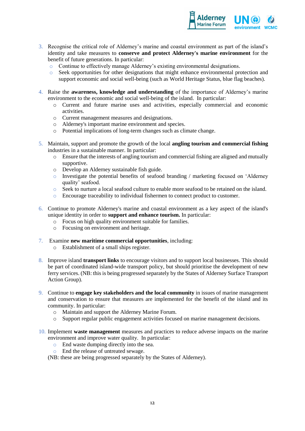

- 3. Recognise the critical role of Alderney's marine and coastal environment as part of the island's identity and take measures to **conserve and protect Alderney's marine environment** for the benefit of future generations. In particular:
	- o Continue to effectively manage Alderney's existing environmental designations.
	- o Seek opportunities for other designations that might enhance environmental protection and support economic and social well-being (such as World Heritage Status, blue flag beaches).
- 4. Raise the **awareness, knowledge and understanding** of the importance of Alderney's marine environment to the economic and social well-being of the island. In particular:
	- o Current and future marine uses and activities, especially commercial and economic activities.
	- o Current management measures and designations.
	- o Alderney's important marine environment and species.
	- o Potential implications of long-term changes such as climate change.
- 5. Maintain, support and promote the growth of the local **angling tourism and commercial fishing** industries in a sustainable manner. In particular:
	- $\circ$  Ensure that the interests of angling tourism and commercial fishing are aligned and mutually supportive.
	- o Develop an Alderney sustainable fish guide.
	- o Investigate the potential benefits of seafood branding / marketing focused on 'Alderney quality' seafood.
	- $\circ$  Seek to nurture a local seafood culture to enable more seafood to be retained on the island.
	- o Encourage traceability to individual fishermen to connect product to customer.
- 6. Continue to promote Alderney's marine and coastal environment as a key aspect of the island's unique identity in order to **support and enhance tourism.** In particular:
	- o Focus on high quality environment suitable for families.
	- o Focusing on environment and heritage.
- 7. Examine **new maritime commercial opportunities**, including:
	- o Establishment of a small ships register.
- 8. Improve island **transport links** to encourage visitors and to support local businesses. This should be part of coordinated island-wide transport policy, but should prioritise the development of new ferry services. (NB: this is being progressed separately by the States of Alderney Surface Transport Action Group).
- 9. Continue to **engage key stakeholders and the local community** in issues of marine management and conservation to ensure that measures are implemented for the benefit of the island and its community. In particular:
	- o Maintain and support the Alderney Marine Forum.
	- o Support regular public engagement activities focused on marine management decisions.
- 10. Implement **waste management** measures and practices to reduce adverse impacts on the marine environment and improve water quality. In particular:
	- o End waste dumping directly into the sea.
	- o End the release of untreated sewage.

(NB: these are being progressed separately by the States of Alderney).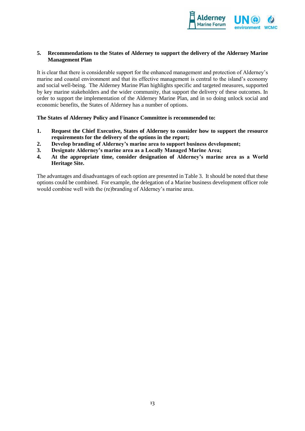

### **5. Recommendations to the States of Alderney to support the delivery of the Alderney Marine Management Plan**

It is clear that there is considerable support for the enhanced management and protection of Alderney's marine and coastal environment and that its effective management is central to the island's economy and social well-being. The Alderney Marine Plan highlights specific and targeted measures, supported by key marine stakeholders and the wider community, that support the delivery of these outcomes. In order to support the implementation of the Alderney Marine Plan, and in so doing unlock social and economic benefits, the States of Alderney has a number of options.

**The States of Alderney Policy and Finance Committee is recommended to:**

- **1. Request the Chief Executive, States of Alderney to consider how to support the resource requirements for the delivery of the options in the report;**
- **2. Develop branding of Alderney's marine area to support business development;**
- **3. Designate Alderney's marine area as a Locally Managed Marine Area;**
- **4. At the appropriate time, consider designation of Alderney's marine area as a World Heritage Site.**

The advantages and disadvantages of each option are presented in Table 3. It should be noted that these options could be combined. For example, the delegation of a Marine business development officer role would combine well with the (re)branding of Alderney's marine area.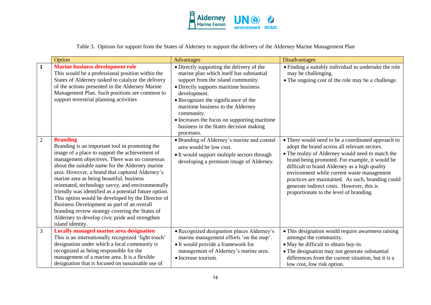

Table 3. Options for support from the States of Alderney to support the delivery of the Alderney Marine Management Plan

|                | Option                                                                                                                                                                                                                                                                                                                                                                                                                                                                                                                                                                                                                                                           | <b>Advantages</b>                                                                                                                                                                                                                                                                                                                                                                       | <b>Disadvantages</b>                                                                                                                                                                                                                                                                                                                                                                                                                                  |
|----------------|------------------------------------------------------------------------------------------------------------------------------------------------------------------------------------------------------------------------------------------------------------------------------------------------------------------------------------------------------------------------------------------------------------------------------------------------------------------------------------------------------------------------------------------------------------------------------------------------------------------------------------------------------------------|-----------------------------------------------------------------------------------------------------------------------------------------------------------------------------------------------------------------------------------------------------------------------------------------------------------------------------------------------------------------------------------------|-------------------------------------------------------------------------------------------------------------------------------------------------------------------------------------------------------------------------------------------------------------------------------------------------------------------------------------------------------------------------------------------------------------------------------------------------------|
| 1              | <b>Marine business development role</b><br>This would be a professional position within the<br>States of Alderney tasked to catalyze the delivery<br>of the actions presented in the Alderney Marine<br>Management Plan. Such positions are common to<br>support terrestrial planning activities                                                                                                                                                                                                                                                                                                                                                                 | • Directly supporting the delivery of the<br>marine plan which itself has substantial<br>support from the island community.<br>• Directly supports maritime business<br>development.<br>• Recognizes the significance of the<br>maritime business to the Alderney<br>community.<br>• Increases the focus on supporting maritime<br>business in the States decision making<br>processes. | • Finding a suitably individual to undertake the role<br>may be challenging.<br>• The ongoing cost of the role may be a challenge.                                                                                                                                                                                                                                                                                                                    |
| $\overline{2}$ | <b>Branding</b><br>Branding is an important tool in promoting the<br>image of a place to support the achievement of<br>management objectives. There was no consensus<br>about the suitable name for the Alderney marine<br>area. However, a brand that captured Alderney's<br>marine area as being beautiful, business<br>orientated, technology savvy, and environmentally<br>friendly was identified as a potential future option.<br>This option would be developed by the Director of<br>Business Development as part of an overall<br>branding review strategy covering the States of<br>Alderney to develop civic pride and strengthen<br>island identity. | • Branding of Alderney's marine and coastal<br>area would be low cost.<br>• It would support multiple sectors through<br>developing a premium image of Alderney.                                                                                                                                                                                                                        | • There would need to be a coordinated approach to<br>adopt the brand across all relevant sectors.<br>• The reality of Alderney would need to match the<br>brand being promoted. For example, it would be<br>difficult to brand Alderney as a high quality<br>environment while current waste management<br>practices are maintained. As such, branding could<br>generate indirect costs. However, this is<br>proportionate to the level of branding. |
| 3              | <b>Locally managed marine area designation</b><br>This is an internationally recognized 'light touch'<br>designation under which a local community is<br>recognized as being responsible for the<br>management of a marine area. It is a flexible<br>designation that is focused on sustainable use of                                                                                                                                                                                                                                                                                                                                                           | • Recognized designation places Alderney's<br>marine management efforts 'on the map'.<br>• It would provide a framework for<br>management of Alderney's marine area.<br>• Increase tourism.                                                                                                                                                                                             | • This designation would require awareness raising<br>amongst the community.<br>• May be difficult to obtain buy-in.<br>• The designation may not generate substantial<br>differences from the current situation, but it is a<br>low cost, low risk option.                                                                                                                                                                                           |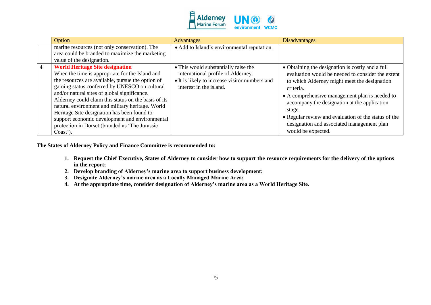

|                         | Option                                                                                                                                                                                                                                                                                                                                                                                                                                                                                                                      | <b>Advantages</b>                                                                                                                                       | <b>Disadvantages</b>                                                                                                                                                                                                                                                                                                                                                                                       |
|-------------------------|-----------------------------------------------------------------------------------------------------------------------------------------------------------------------------------------------------------------------------------------------------------------------------------------------------------------------------------------------------------------------------------------------------------------------------------------------------------------------------------------------------------------------------|---------------------------------------------------------------------------------------------------------------------------------------------------------|------------------------------------------------------------------------------------------------------------------------------------------------------------------------------------------------------------------------------------------------------------------------------------------------------------------------------------------------------------------------------------------------------------|
|                         | marine resources (not only conservation). The<br>area could be branded to maximize the marketing<br>value of the designation.                                                                                                                                                                                                                                                                                                                                                                                               | • Add to Island's environmental reputation.                                                                                                             |                                                                                                                                                                                                                                                                                                                                                                                                            |
| $\overline{\mathbf{4}}$ | <b>World Heritage Site designation</b><br>When the time is appropriate for the Island and<br>the resources are available, pursue the option of<br>gaining status conferred by UNESCO on cultural<br>and/or natural sites of global significance.<br>Alderney could claim this status on the basis of its<br>natural environment and military heritage. World<br>Heritage Site designation has been found to<br>support economic development and environmental<br>protection in Dorset (branded as 'The Jurassic<br>Coast'). | • This would substantially raise the<br>international profile of Alderney.<br>• It is likely to increase visitor numbers and<br>interest in the island. | • Obtaining the designation is costly and a full<br>evaluation would be needed to consider the extent<br>to which Alderney might meet the designation<br>criteria.<br>• A comprehensive management plan is needed to<br>accompany the designation at the application<br>stage.<br>• Regular review and evaluation of the status of the<br>designation and associated management plan<br>would be expected. |

**The States of Alderney Policy and Finance Committee is recommended to:**

- **1. Request the Chief Executive, States of Alderney to consider how to support the resource requirements for the delivery of the options in the report;**
- **2. Develop branding of Alderney's marine area to support business development;**
- **3. Designate Alderney's marine area as a Locally Managed Marine Area;**
- **4. At the appropriate time, consider designation of Alderney's marine area as a World Heritage Site.**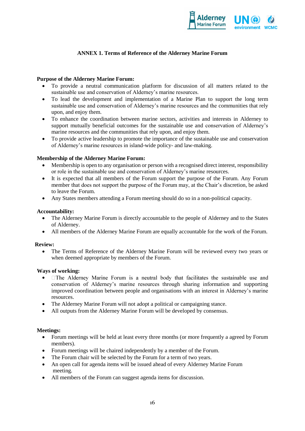

# **ANNEX 1. Terms of Reference of the Alderney Marine Forum**

### **Purpose of the Alderney Marine Forum:**

- To provide a neutral communication platform for discussion of all matters related to the sustainable use and conservation of Alderney's marine resources.
- To lead the development and implementation of a Marine Plan to support the long term sustainable use and conservation of Alderney's marine resources and the communities that rely upon, and enjoy them.
- To enhance the coordination between marine sectors, activities and interests in Alderney to support mutually beneficial outcomes for the sustainable use and conservation of Alderney's marine resources and the communities that rely upon, and enjoy them.
- To provide active leadership to promote the importance of the sustainable use and conservation of Alderney's marine resources in island-wide policy- and law-making.

#### **Membership of the Alderney Marine Forum:**

- Membership is open to any organisation or person with a recognised direct interest, responsibility or role in the sustainable use and conservation of Alderney's marine resources.
- It is expected that all members of the Forum support the purpose of the Forum. Any Forum member that does not support the purpose of the Forum may, at the Chair's discretion, be asked to leave the Forum.
- Any States members attending a Forum meeting should do so in a non-political capacity.

#### **Accountability:**

- The Alderney Marine Forum is directly accountable to the people of Alderney and to the States of Alderney.
- All members of the Alderney Marine Forum are equally accountable for the work of the Forum.

#### **Review:**

 The Terms of Reference of the Alderney Marine Forum will be reviewed every two years or when deemed appropriate by members of the Forum.

#### **Ways of working:**

- $\Box$  The Alderney Marine Forum is a neutral body that facilitates the sustainable use and  $\bullet$ conservation of Alderney's marine resources through sharing information and supporting improved coordination between people and organisations with an interest in Alderney's marine resources.
- The Alderney Marine Forum will not adopt a political or campaigning stance.
- All outputs from the Alderney Marine Forum will be developed by consensus.

#### **Meetings:**

- Forum meetings will be held at least every three months (or more frequently a agreed by Forum members).
- Forum meetings will be chaired independently by a member of the Forum.
- The Forum chair will be selected by the Forum for a term of two years.
- An open call for agenda items will be issued ahead of every Alderney Marine Forum meeting.
- All members of the Forum can suggest agenda items for discussion.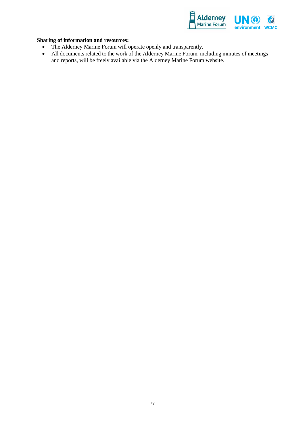

# **Sharing of information and resources:**

- The Alderney Marine Forum will operate openly and transparently.<br>• All documents related to the work of the Alderney Marine Forum, in
- All documents related to the work of the Alderney Marine Forum, including minutes of meetings and reports, will be freely available via the Alderney Marine Forum website.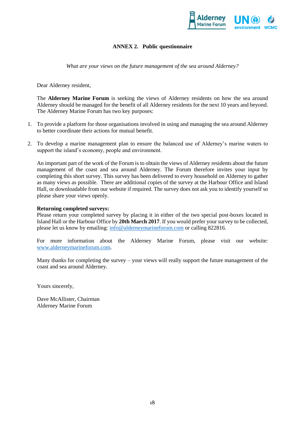

# **ANNEX 2. Public questionnaire**

*What are your views on the future management of the sea around Alderney?*

Dear Alderney resident,

The **Alderney Marine Forum** is seeking the views of Alderney residents on how the sea around Alderney should be managed for the benefit of all Alderney residents for the next 10 years and beyond. The Alderney Marine Forum has two key purposes:

- 1. To provide a platform for those organisations involved in using and managing the sea around Alderney to better coordinate their actions for mutual benefit.
- 2. To develop a marine management plan to ensure the balanced use of Alderney's marine waters to support the island's economy, people and environment.

An important part of the work of the Forum is to obtain the views of Alderney residents about the future management of the coast and sea around Alderney. The Forum therefore invites your input by completing this short survey. This survey has been delivered to every household on Alderney to gather as many views as possible. There are additional copies of the survey at the Harbour Office and Island Hall, or downloadable from our website if required. The survey does not ask you to identify yourself so please share your views openly.

#### **Returning completed surveys:**

Please return your completed survey by placing it in either of the two special post-boxes located in Island Hall or the Harbour Office by **20th March 2017**. If you would prefer your survey to be collected, please let us know by emailing: [info@alderneymarineforum.com](mailto:info@alderneymarineforum.com) or calling 822816.

For more information about the Alderney Marine Forum, please visit our website: [www.alderneymarineforum.com.](http://www.alderneymarineforum.com/)

Many thanks for completing the survey – your views will really support the future management of the coast and sea around Alderney.

Yours sincerely,

Dave McAllister, Chairman Alderney Marine Forum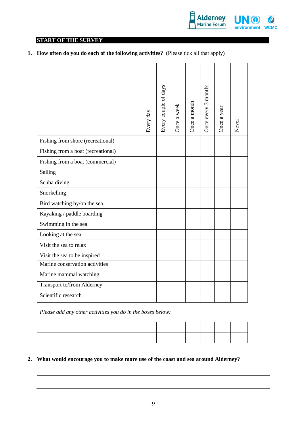

# **START OF THE SURVEY**

**1. How often do you do each of the following activities?** (Please tick all that apply)

|                                    | Every day | Every couple of days | Once a week | Once a month | Once every 3 months | Once a year | Never |
|------------------------------------|-----------|----------------------|-------------|--------------|---------------------|-------------|-------|
| Fishing from shore (recreational)  |           |                      |             |              |                     |             |       |
| Fishing from a boat (recreational) |           |                      |             |              |                     |             |       |
| Fishing from a boat (commercial)   |           |                      |             |              |                     |             |       |
| Sailing                            |           |                      |             |              |                     |             |       |
| Scuba diving                       |           |                      |             |              |                     |             |       |
| Snorkelling                        |           |                      |             |              |                     |             |       |
| Bird watching by/on the sea        |           |                      |             |              |                     |             |       |
| Kayaking / paddle boarding         |           |                      |             |              |                     |             |       |
| Swimming in the sea                |           |                      |             |              |                     |             |       |
| Looking at the sea                 |           |                      |             |              |                     |             |       |
| Visit the sea to relax             |           |                      |             |              |                     |             |       |
| Visit the sea to be inspired       |           |                      |             |              |                     |             |       |
| Marine conservation activities     |           |                      |             |              |                     |             |       |
| Marine mammal watching             |           |                      |             |              |                     |             |       |
| Transport to/from Alderney         |           |                      |             |              |                     |             |       |
| Scientific research                |           |                      |             |              |                     |             |       |
|                                    |           |                      |             |              |                     |             |       |

*Please add any other activities you do in the boxes below:*

# **2. What would encourage you to make more use of the coast and sea around Alderney?**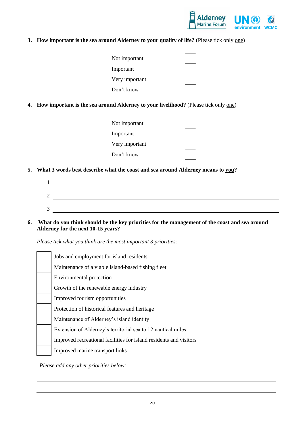

# **3. How important is the sea around Alderney to your quality of life?** (Please tick only <u>one</u>)

**4. How important is the sea around Alderney to your livelihood?** (Please tick only one)

| Not important  |  |
|----------------|--|
| Important      |  |
| Very important |  |
| Don't know     |  |

**5. What 3 words best describe what the coast and sea around Alderney means to you?**

**6. What do you think should be the key priorities for the management of the coast and sea around Alderney for the next 10-15 years?** 

*Please tick what you think are the most important 3 priorities:*

| Jobs and employment for island residents                           |
|--------------------------------------------------------------------|
| Maintenance of a viable island-based fishing fleet                 |
| Environmental protection                                           |
| Growth of the renewable energy industry                            |
| Improved tourism opportunities                                     |
| Protection of historical features and heritage                     |
| Maintenance of Alderney's island identity                          |
| Extension of Alderney's territorial sea to 12 nautical miles       |
| Improved recreational facilities for island residents and visitors |
| Improved marine transport links                                    |

*Please add any other priorities below:*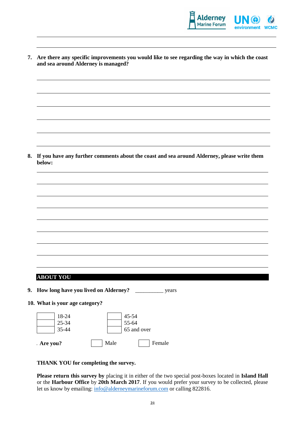

|    | 7. Are there any specific improvements you would like to see regarding the way in which the coast<br>and sea around Alderney is managed? |
|----|------------------------------------------------------------------------------------------------------------------------------------------|
|    |                                                                                                                                          |
|    |                                                                                                                                          |
|    |                                                                                                                                          |
|    |                                                                                                                                          |
|    |                                                                                                                                          |
| 8. | If you have any further comments about the coast and sea around Alderney, please write them<br>below:                                    |
|    |                                                                                                                                          |
|    |                                                                                                                                          |
|    |                                                                                                                                          |
|    |                                                                                                                                          |
|    |                                                                                                                                          |
|    |                                                                                                                                          |
|    |                                                                                                                                          |
|    |                                                                                                                                          |
|    | <b>ABOUT YOU</b>                                                                                                                         |
|    |                                                                                                                                          |
|    | 9. How long have you lived on Alderney?<br>years                                                                                         |
|    | 10. What is your age category?                                                                                                           |
|    | 18-24<br>45-54<br>55-64<br>25-34                                                                                                         |
|    | 35-44<br>65 and over                                                                                                                     |
|    | Male<br>Female<br>Are you?                                                                                                               |

**THANK YOU for completing the survey.** 

**Please return this survey by** placing it in either of the two special post-boxes located in **Island Hall** or the **Harbour Office** by **20th March 2017**. If you would prefer your survey to be collected, please let us know by emailing:  $\frac{info@alderneymarineform.com}{info@alderneymarineform.com}$  or calling 822816.